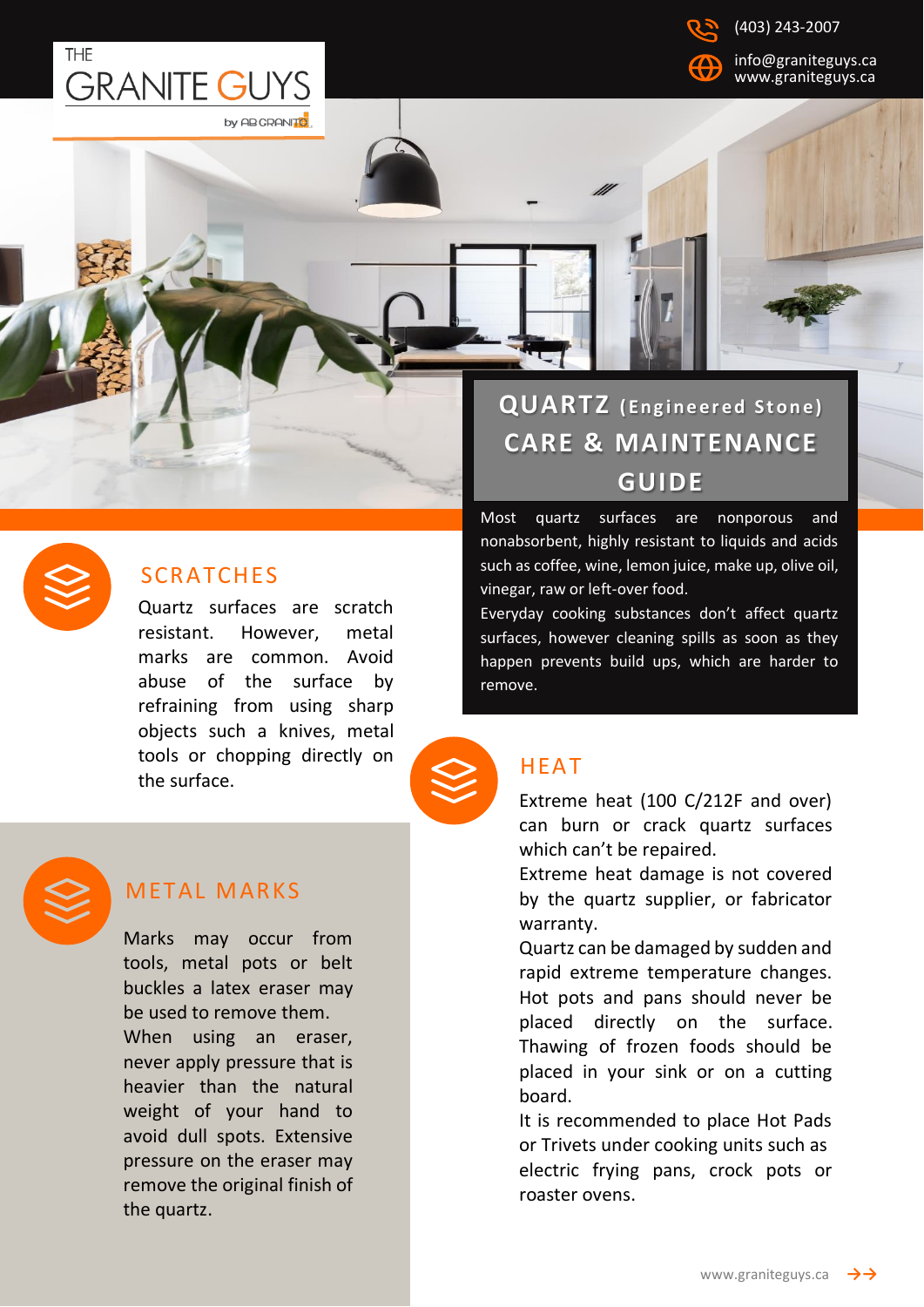



[info@graniteguys.ca](mailto:info@graniteguys.ca) www.graniteguys.ca

### **SCRATCHES**

Quartz surfaces are scratch resistant. However, metal marks are common. Avoid abuse of the surface by refraining from using sharp objects such a knives, metal tools or chopping directly on the surface.





### **METAL MARKS**

Marks may occur from tools, metal pots or belt buckles a latex eraser may be used to remove them. When using an eraser, never apply pressure that is heavier than the natural weight of your hand to avoid dull spots. Extensive pressure on the eraser may remove the original finish of the quartz.

# **QUARTZ** (Engineered Stone) **CARE & MAINTENANCE GUIDE**

Most quartz surfaces are nonporous and nonabsorbent, highly resistant to liquids and acids such as coffee, wine, lemon juice, make up, olive oil, vinegar, raw or left-over food.

Everyday cooking substances don't affect quartz surfaces, however cleaning spills as soon as they happen prevents build ups, which are harder to remove.

## HEAT

Extreme heat (100 C/212F and over) can burn or crack quartz surfaces which can't be repaired.

Extreme heat damage is not covered by the quartz supplier, or fabricator warranty.

Quartz can be damaged by sudden and rapid extreme temperature changes. Hot pots and pans should never be placed directly on the surface. Thawing of frozen foods should be placed in your sink or on a cutting board.

It is recommended to place Hot Pads or Trivets under cooking units such as electric frying pans, crock pots or roaster ovens.